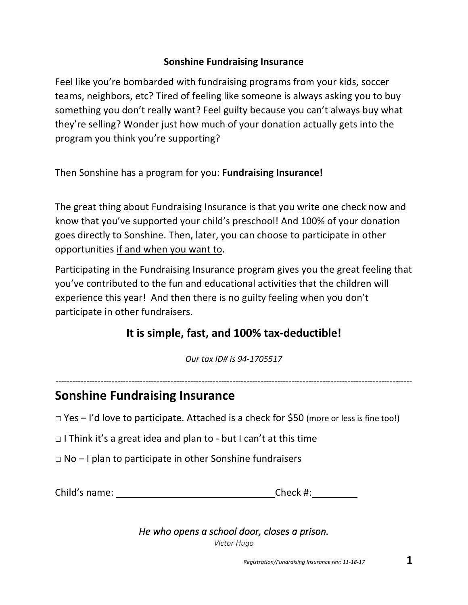#### **Sonshine Fundraising Insurance**

Feel like you're bombarded with fundraising programs from your kids, soccer teams, neighbors, etc? Tired of feeling like someone is always asking you to buy something you don't really want? Feel guilty because you can't always buy what they're selling? Wonder just how much of your donation actually gets into the program you think you're supporting?

Then Sonshine has a program for you: **Fundraising Insurance!**

The great thing about Fundraising Insurance is that you write one check now and know that you've supported your child's preschool! And 100% of your donation goes directly to Sonshine. Then, later, you can choose to participate in other opportunities if and when you want to.

Participating in the Fundraising Insurance program gives you the great feeling that you've contributed to the fun and educational activities that the children will experience this year! And then there is no guilty feeling when you don't participate in other fundraisers.

#### **It is simple, fast, and 100% tax-deductible!**

*Our tax ID# is 94-1705517*

*-------------------------------------------------------------------------------------------------------------------------------*

#### **Sonshine Fundraising Insurance**

 $\Box$  Yes – I'd love to participate. Attached is a check for \$50 (more or less is fine too!)

 $\Box$  I Think it's a great idea and plan to - but I can't at this time

 $\Box$  No – I plan to participate in other Sonshine fundraisers

Child's name: Check #:

*He who opens a school door, closes a prison. Victor Hugo*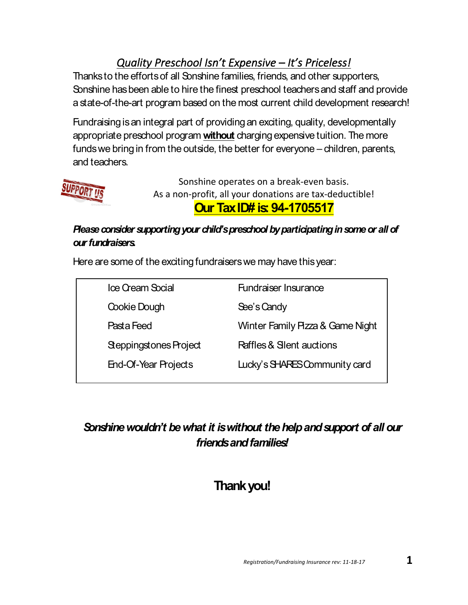### *Quality Preschool Isn't Expensive – It's Priceless!*

Thanks to the efforts of all Sonshine families, friends, and other supporters, Sonshine has been able to hire the finest preschool teachers and staff and provide a state-of-the-art program based on the most current child development research!

Fundraising is an integral part of providing an exciting, quality, developmentally appropriate preschool program **without** charging expensive tuition. The more funds we bring in from the outside, the better for everyone – children, parents, and teachers.



Sonshine operates on a break-even basis. As a non-profit, all your donations are tax-deductible! **Our Tax ID# is: 94-1705517**

#### *Please consider supporting your child's preschool by participating in some or all of our fundraisers.*

Here are some of the exciting fundraisers we may have this year:

| Ice Cream Social       | <b>Fundraiser Insurance</b>         |
|------------------------|-------------------------------------|
| Cookie Dough           | See's Candy                         |
| Pasta Feed             | Winter Family Pizza & Game Night    |
| Steppingstones Project | <b>Raffles &amp; Slent auctions</b> |
| End-Of-Year Projects   | Lucky's SHARES Community card       |

### *Sonshine wouldn't be what it is without the help and support of all our friends and families!*

## **Thank you!**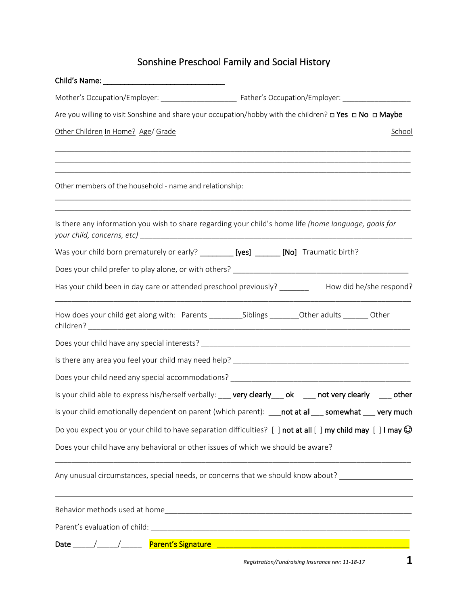### Sonshine Preschool Family and Social History

| Are you willing to visit Sonshine and share your occupation/hobby with the children? <b>O Yes O No O Maybe</b>                                                              |        |
|-----------------------------------------------------------------------------------------------------------------------------------------------------------------------------|--------|
| Other Children In Home? Age/ Grade                                                                                                                                          | School |
| ,我们也不能在这里的人,我们也不能在这里的人,我们也不能在这里的人,我们也不能在这里的人,我们也不能在这里的人,我们也不能在这里的人,我们也不能在这里的人,我们也<br>Other members of the household - name and relationship:                                |        |
| Is there any information you wish to share regarding your child's home life (home language, goals for                                                                       |        |
| Was your child born prematurely or early? _________ [yes] _______ [No] Traumatic birth?                                                                                     |        |
|                                                                                                                                                                             |        |
| Has your child been in day care or attended preschool previously? _________ How did he/she respond?                                                                         |        |
| How does your child get along with: Parents _________Siblings ________Other adults _______Other                                                                             |        |
|                                                                                                                                                                             |        |
|                                                                                                                                                                             |        |
|                                                                                                                                                                             |        |
| Is your child able to express his/herself verbally: ___ very clearly ___ ok ___ not very clearly ___ other                                                                  |        |
| Is your child emotionally dependent on parent (which parent): __not at all___somewhat ___ very much                                                                         |        |
| Do you expect you or your child to have separation difficulties? $\lceil \cdot \rceil$ not at all $\lceil \cdot \rceil$ my child may $\lceil \cdot \rceil$ I may $\bigcirc$ |        |
| Does your child have any behavioral or other issues of which we should be aware?                                                                                            |        |
| Any unusual circumstances, special needs, or concerns that we should know about? __________________                                                                         |        |
|                                                                                                                                                                             |        |
|                                                                                                                                                                             |        |
|                                                                                                                                                                             |        |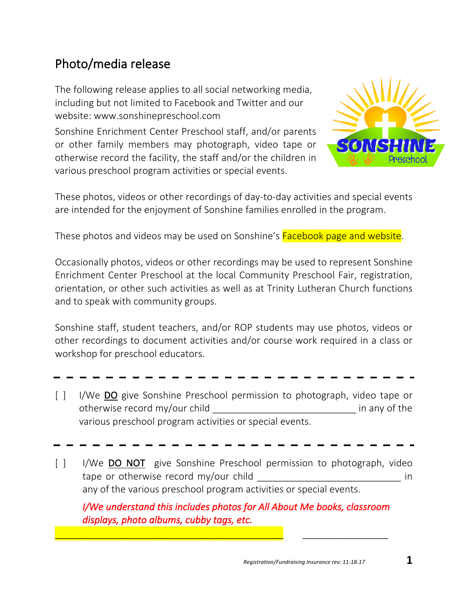## Photo/media release

The following release applies to all social networking media, including but not limited to Facebook and Twitter and our website: www.sonshinepreschool.com

Sonshine Enrichment Center Preschool staff, and/or parents or other family members may photograph, video tape or otherwise record the facility, the staff and/or the children in various preschool program activities or special events.



These photos, videos or other recordings of day-to-day activities and special events are intended for the enjoyment of Sonshine families enrolled in the program.

These photos and videos may be used on Sonshine's Facebook page and website.

Occasionally photos, videos or other recordings may be used to represent Sonshine Enrichment Center Preschool at the local Community Preschool Fair, registration, orientation, or other such activities as well as at Trinity Lutheran Church functions and to speak with community groups.

Sonshine staff, student teachers, and/or ROP students may use photos, videos or other recordings to document activities and/or course work required in a class or workshop for preschool educators.

- 
- [ ] I/We DO give Sonshine Preschool permission to photograph, video tape or otherwise record my/our child \_\_\_\_\_\_\_\_\_\_\_\_\_\_\_\_\_\_\_\_\_\_\_\_\_\_\_ in any of the various preschool program activities or special events.
- [ ] I/We DO NOT give Sonshine Preschool permission to photograph, video tape or otherwise record my/our child  $\blacksquare$ any of the various preschool program activities or special events.

*I/We understand this includes photos for All About Me books, classroom displays, photo albums, cubby tags, etc.* 

\_\_\_\_\_\_\_\_\_\_\_\_\_\_\_\_\_\_\_\_\_\_\_\_\_\_\_\_\_\_\_\_\_\_\_\_\_\_\_\_ \_\_\_\_\_\_\_\_\_\_\_\_\_\_\_